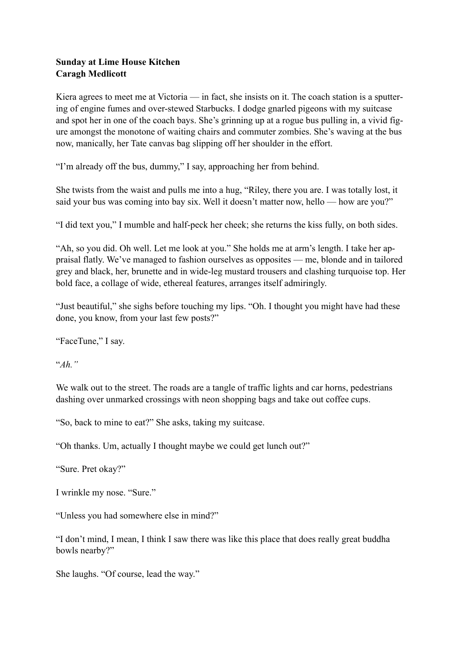## **Sunday at Lime House Kitchen Caragh Medlicott**

Kiera agrees to meet me at Victoria — in fact, she insists on it. The coach station is a sputtering of engine fumes and over-stewed Starbucks. I dodge gnarled pigeons with my suitcase and spot her in one of the coach bays. She's grinning up at a rogue bus pulling in, a vivid figure amongst the monotone of waiting chairs and commuter zombies. She's waving at the bus now, manically, her Tate canvas bag slipping off her shoulder in the effort.

"I'm already off the bus, dummy," I say, approaching her from behind.

She twists from the waist and pulls me into a hug, "Riley, there you are. I was totally lost, it said your bus was coming into bay six. Well it doesn't matter now, hello — how are you?"

"I did text you," I mumble and half-peck her cheek; she returns the kiss fully, on both sides.

"Ah, so you did. Oh well. Let me look at you." She holds me at arm's length. I take her appraisal flatly. We've managed to fashion ourselves as opposites — me, blonde and in tailored grey and black, her, brunette and in wide-leg mustard trousers and clashing turquoise top. Her bold face, a collage of wide, ethereal features, arranges itself admiringly.

"Just beautiful," she sighs before touching my lips. "Oh. I thought you might have had these done, you know, from your last few posts?"

"FaceTune," I say.

"*Ah."*

We walk out to the street. The roads are a tangle of traffic lights and car horns, pedestrians dashing over unmarked crossings with neon shopping bags and take out coffee cups.

"So, back to mine to eat?" She asks, taking my suitcase.

"Oh thanks. Um, actually I thought maybe we could get lunch out?"

"Sure. Pret okay?"

I wrinkle my nose. "Sure."

"Unless you had somewhere else in mind?"

"I don't mind, I mean, I think I saw there was like this place that does really great buddha bowls nearby?"

She laughs. "Of course, lead the way."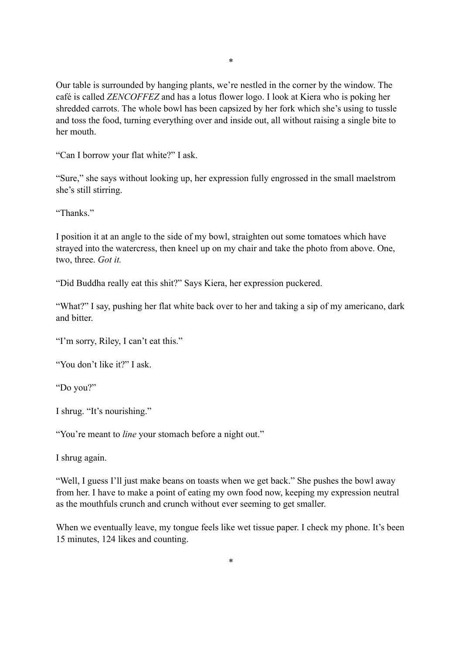Our table is surrounded by hanging plants, we're nestled in the corner by the window. The café is called *ZENCOFFEZ* and has a lotus flower logo. I look at Kiera who is poking her shredded carrots. The whole bowl has been capsized by her fork which she's using to tussle and toss the food, turning everything over and inside out, all without raising a single bite to her mouth.

"Can I borrow your flat white?" I ask.

"Sure," she says without looking up, her expression fully engrossed in the small maelstrom she's still stirring.

"Thanks"

I position it at an angle to the side of my bowl, straighten out some tomatoes which have strayed into the watercress, then kneel up on my chair and take the photo from above. One, two, three. *Got it.*

"Did Buddha really eat this shit?" Says Kiera, her expression puckered.

"What?" I say, pushing her flat white back over to her and taking a sip of my americano, dark and bitter.

"I'm sorry, Riley, I can't eat this."

"You don't like it?" I ask.

"Do you?"

I shrug. "It's nourishing."

"You're meant to *line* your stomach before a night out."

I shrug again.

"Well, I guess I'll just make beans on toasts when we get back." She pushes the bowl away from her. I have to make a point of eating my own food now, keeping my expression neutral as the mouthfuls crunch and crunch without ever seeming to get smaller.

When we eventually leave, my tongue feels like wet tissue paper. I check my phone. It's been 15 minutes, 124 likes and counting.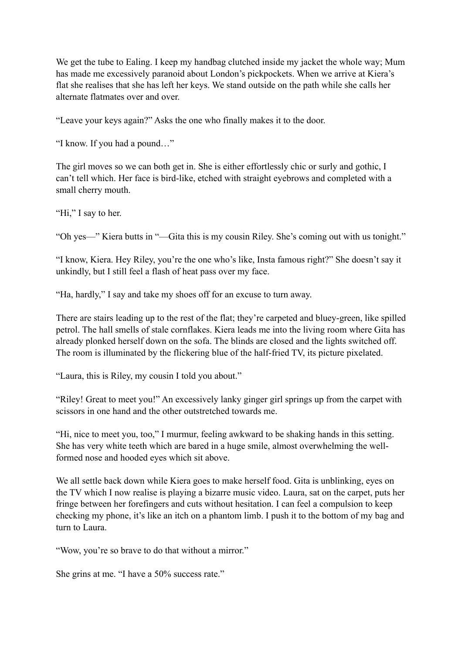We get the tube to Ealing. I keep my handbag clutched inside my jacket the whole way; Mum has made me excessively paranoid about London's pickpockets. When we arrive at Kiera's flat she realises that she has left her keys. We stand outside on the path while she calls her alternate flatmates over and over.

"Leave your keys again?" Asks the one who finally makes it to the door.

"I know. If you had a pound…"

The girl moves so we can both get in. She is either effortlessly chic or surly and gothic, I can't tell which. Her face is bird-like, etched with straight eyebrows and completed with a small cherry mouth.

"Hi," I say to her.

"Oh yes—" Kiera butts in "—Gita this is my cousin Riley. She's coming out with us tonight."

"I know, Kiera. Hey Riley, you're the one who's like, Insta famous right?" She doesn't say it unkindly, but I still feel a flash of heat pass over my face.

"Ha, hardly," I say and take my shoes off for an excuse to turn away.

There are stairs leading up to the rest of the flat; they're carpeted and bluey-green, like spilled petrol. The hall smells of stale cornflakes. Kiera leads me into the living room where Gita has already plonked herself down on the sofa. The blinds are closed and the lights switched off. The room is illuminated by the flickering blue of the half-fried TV, its picture pixelated.

"Laura, this is Riley, my cousin I told you about."

"Riley! Great to meet you!" An excessively lanky ginger girl springs up from the carpet with scissors in one hand and the other outstretched towards me.

"Hi, nice to meet you, too," I murmur, feeling awkward to be shaking hands in this setting. She has very white teeth which are bared in a huge smile, almost overwhelming the wellformed nose and hooded eyes which sit above.

We all settle back down while Kiera goes to make herself food. Gita is unblinking, eyes on the TV which I now realise is playing a bizarre music video. Laura, sat on the carpet, puts her fringe between her forefingers and cuts without hesitation. I can feel a compulsion to keep checking my phone, it's like an itch on a phantom limb. I push it to the bottom of my bag and turn to Laura.

"Wow, you're so brave to do that without a mirror."

She grins at me. "I have a 50% success rate."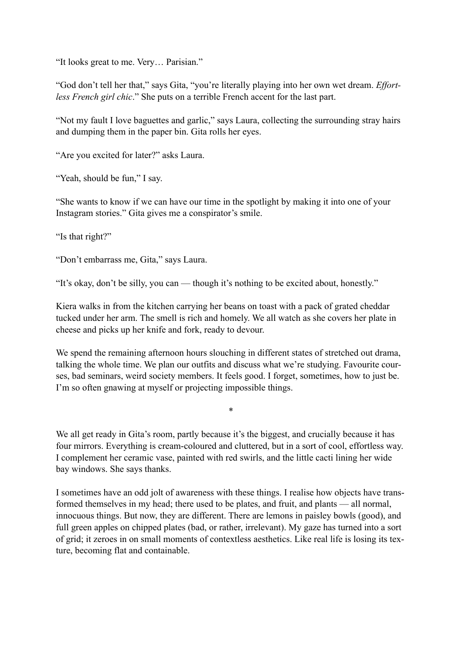"It looks great to me. Very… Parisian."

"God don't tell her that," says Gita, "you're literally playing into her own wet dream. *Effortless French girl chic*." She puts on a terrible French accent for the last part.

"Not my fault I love baguettes and garlic," says Laura, collecting the surrounding stray hairs and dumping them in the paper bin. Gita rolls her eyes.

"Are you excited for later?" asks Laura.

"Yeah, should be fun," I say.

"She wants to know if we can have our time in the spotlight by making it into one of your Instagram stories." Gita gives me a conspirator's smile.

"Is that right?"

"Don't embarrass me, Gita," says Laura.

"It's okay, don't be silly, you can — though it's nothing to be excited about, honestly."

Kiera walks in from the kitchen carrying her beans on toast with a pack of grated cheddar tucked under her arm. The smell is rich and homely. We all watch as she covers her plate in cheese and picks up her knife and fork, ready to devour.

We spend the remaining afternoon hours slouching in different states of stretched out drama, talking the whole time. We plan our outfits and discuss what we're studying. Favourite courses, bad seminars, weird society members. It feels good. I forget, sometimes, how to just be. I'm so often gnawing at myself or projecting impossible things.

\*

We all get ready in Gita's room, partly because it's the biggest, and crucially because it has four mirrors. Everything is cream-coloured and cluttered, but in a sort of cool, effortless way. I complement her ceramic vase, painted with red swirls, and the little cacti lining her wide bay windows. She says thanks.

I sometimes have an odd jolt of awareness with these things. I realise how objects have transformed themselves in my head; there used to be plates, and fruit, and plants — all normal, innocuous things. But now, they are different. There are lemons in paisley bowls (good), and full green apples on chipped plates (bad, or rather, irrelevant). My gaze has turned into a sort of grid; it zeroes in on small moments of contextless aesthetics. Like real life is losing its texture, becoming flat and containable.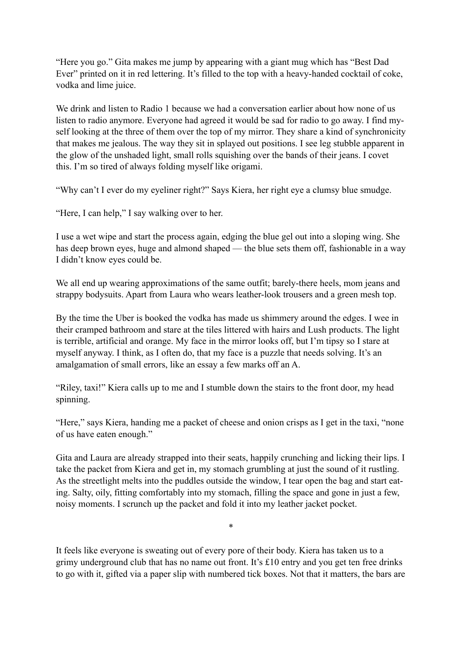"Here you go." Gita makes me jump by appearing with a giant mug which has "Best Dad Ever" printed on it in red lettering. It's filled to the top with a heavy-handed cocktail of coke, vodka and lime juice.

We drink and listen to Radio 1 because we had a conversation earlier about how none of us listen to radio anymore. Everyone had agreed it would be sad for radio to go away. I find myself looking at the three of them over the top of my mirror. They share a kind of synchronicity that makes me jealous. The way they sit in splayed out positions. I see leg stubble apparent in the glow of the unshaded light, small rolls squishing over the bands of their jeans. I covet this. I'm so tired of always folding myself like origami.

"Why can't I ever do my eyeliner right?" Says Kiera, her right eye a clumsy blue smudge.

"Here, I can help," I say walking over to her.

I use a wet wipe and start the process again, edging the blue gel out into a sloping wing. She has deep brown eyes, huge and almond shaped — the blue sets them off, fashionable in a way I didn't know eyes could be.

We all end up wearing approximations of the same outfit; barely-there heels, mom jeans and strappy bodysuits. Apart from Laura who wears leather-look trousers and a green mesh top.

By the time the Uber is booked the vodka has made us shimmery around the edges. I wee in their cramped bathroom and stare at the tiles littered with hairs and Lush products. The light is terrible, artificial and orange. My face in the mirror looks off, but I'm tipsy so I stare at myself anyway. I think, as I often do, that my face is a puzzle that needs solving. It's an amalgamation of small errors, like an essay a few marks off an A.

"Riley, taxi!" Kiera calls up to me and I stumble down the stairs to the front door, my head spinning.

"Here," says Kiera, handing me a packet of cheese and onion crisps as I get in the taxi, "none of us have eaten enough."

Gita and Laura are already strapped into their seats, happily crunching and licking their lips. I take the packet from Kiera and get in, my stomach grumbling at just the sound of it rustling. As the streetlight melts into the puddles outside the window, I tear open the bag and start eating. Salty, oily, fitting comfortably into my stomach, filling the space and gone in just a few, noisy moments. I scrunch up the packet and fold it into my leather jacket pocket.

It feels like everyone is sweating out of every pore of their body. Kiera has taken us to a grimy underground club that has no name out front. It's £10 entry and you get ten free drinks to go with it, gifted via a paper slip with numbered tick boxes. Not that it matters, the bars are

\*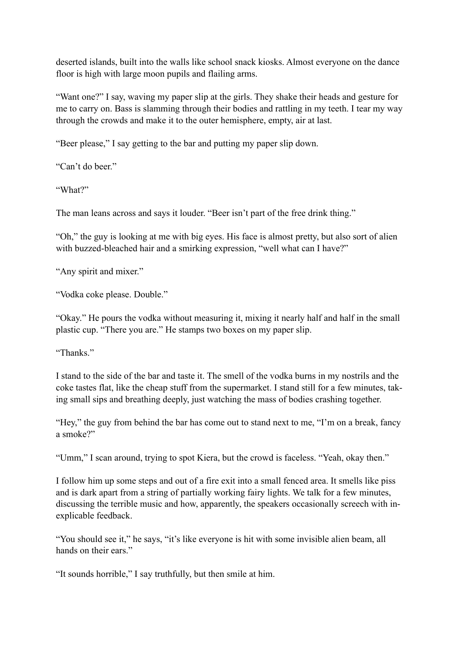deserted islands, built into the walls like school snack kiosks. Almost everyone on the dance floor is high with large moon pupils and flailing arms.

"Want one?" I say, waving my paper slip at the girls. They shake their heads and gesture for me to carry on. Bass is slamming through their bodies and rattling in my teeth. I tear my way through the crowds and make it to the outer hemisphere, empty, air at last.

"Beer please," I say getting to the bar and putting my paper slip down.

"Can't do beer."

"What?"

The man leans across and says it louder. "Beer isn't part of the free drink thing."

"Oh," the guy is looking at me with big eyes. His face is almost pretty, but also sort of alien with buzzed-bleached hair and a smirking expression, "well what can I have?"

"Any spirit and mixer."

"Vodka coke please. Double."

"Okay." He pours the vodka without measuring it, mixing it nearly half and half in the small plastic cup. "There you are." He stamps two boxes on my paper slip.

"Thanks."

I stand to the side of the bar and taste it. The smell of the vodka burns in my nostrils and the coke tastes flat, like the cheap stuff from the supermarket. I stand still for a few minutes, taking small sips and breathing deeply, just watching the mass of bodies crashing together.

"Hey," the guy from behind the bar has come out to stand next to me, "I'm on a break, fancy a smoke?"

"Umm," I scan around, trying to spot Kiera, but the crowd is faceless. "Yeah, okay then."

I follow him up some steps and out of a fire exit into a small fenced area. It smells like piss and is dark apart from a string of partially working fairy lights. We talk for a few minutes, discussing the terrible music and how, apparently, the speakers occasionally screech with inexplicable feedback.

"You should see it," he says, "it's like everyone is hit with some invisible alien beam, all hands on their ears."

"It sounds horrible," I say truthfully, but then smile at him.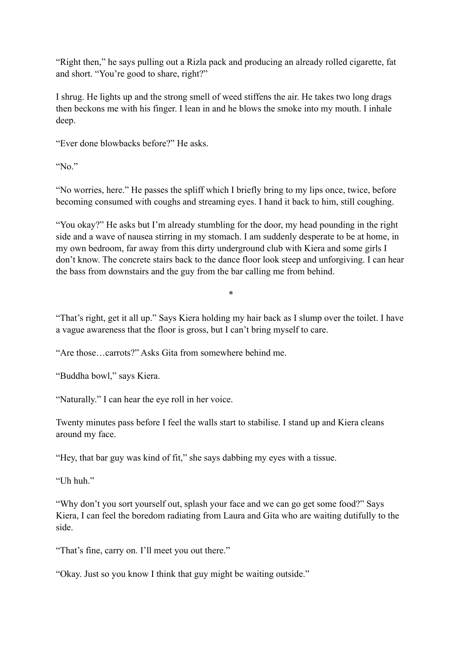"Right then," he says pulling out a Rizla pack and producing an already rolled cigarette, fat and short. "You're good to share, right?"

I shrug. He lights up and the strong smell of weed stiffens the air. He takes two long drags then beckons me with his finger. I lean in and he blows the smoke into my mouth. I inhale deep.

"Ever done blowbacks before?" He asks.

"No."

"No worries, here." He passes the spliff which I briefly bring to my lips once, twice, before becoming consumed with coughs and streaming eyes. I hand it back to him, still coughing.

"You okay?" He asks but I'm already stumbling for the door, my head pounding in the right side and a wave of nausea stirring in my stomach. I am suddenly desperate to be at home, in my own bedroom, far away from this dirty underground club with Kiera and some girls I don't know. The concrete stairs back to the dance floor look steep and unforgiving. I can hear the bass from downstairs and the guy from the bar calling me from behind.

"That's right, get it all up." Says Kiera holding my hair back as I slump over the toilet. I have a vague awareness that the floor is gross, but I can't bring myself to care.

\*

"Are those…carrots?" Asks Gita from somewhere behind me.

"Buddha bowl," says Kiera.

"Naturally." I can hear the eye roll in her voice.

Twenty minutes pass before I feel the walls start to stabilise. I stand up and Kiera cleans around my face.

"Hey, that bar guy was kind of fit," she says dabbing my eyes with a tissue.

"Uh huh"

"Why don't you sort yourself out, splash your face and we can go get some food?" Says Kiera, I can feel the boredom radiating from Laura and Gita who are waiting dutifully to the side.

"That's fine, carry on. I'll meet you out there."

"Okay. Just so you know I think that guy might be waiting outside."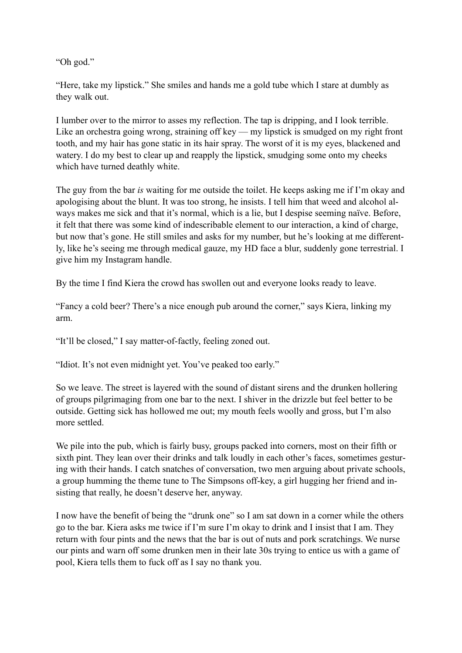"Oh god."

"Here, take my lipstick." She smiles and hands me a gold tube which I stare at dumbly as they walk out.

I lumber over to the mirror to asses my reflection. The tap is dripping, and I look terrible. Like an orchestra going wrong, straining off key — my lipstick is smudged on my right front tooth, and my hair has gone static in its hair spray. The worst of it is my eyes, blackened and watery. I do my best to clear up and reapply the lipstick, smudging some onto my cheeks which have turned deathly white.

The guy from the bar *is* waiting for me outside the toilet. He keeps asking me if I'm okay and apologising about the blunt. It was too strong, he insists. I tell him that weed and alcohol always makes me sick and that it's normal, which is a lie, but I despise seeming naïve. Before, it felt that there was some kind of indescribable element to our interaction, a kind of charge, but now that's gone. He still smiles and asks for my number, but he's looking at me differently, like he's seeing me through medical gauze, my HD face a blur, suddenly gone terrestrial. I give him my Instagram handle.

By the time I find Kiera the crowd has swollen out and everyone looks ready to leave.

"Fancy a cold beer? There's a nice enough pub around the corner," says Kiera, linking my arm.

"It'll be closed," I say matter-of-factly, feeling zoned out.

"Idiot. It's not even midnight yet. You've peaked too early."

So we leave. The street is layered with the sound of distant sirens and the drunken hollering of groups pilgrimaging from one bar to the next. I shiver in the drizzle but feel better to be outside. Getting sick has hollowed me out; my mouth feels woolly and gross, but I'm also more settled.

We pile into the pub, which is fairly busy, groups packed into corners, most on their fifth or sixth pint. They lean over their drinks and talk loudly in each other's faces, sometimes gesturing with their hands. I catch snatches of conversation, two men arguing about private schools, a group humming the theme tune to The Simpsons off-key, a girl hugging her friend and insisting that really, he doesn't deserve her, anyway.

I now have the benefit of being the "drunk one" so I am sat down in a corner while the others go to the bar. Kiera asks me twice if I'm sure I'm okay to drink and I insist that I am. They return with four pints and the news that the bar is out of nuts and pork scratchings. We nurse our pints and warn off some drunken men in their late 30s trying to entice us with a game of pool, Kiera tells them to fuck off as I say no thank you.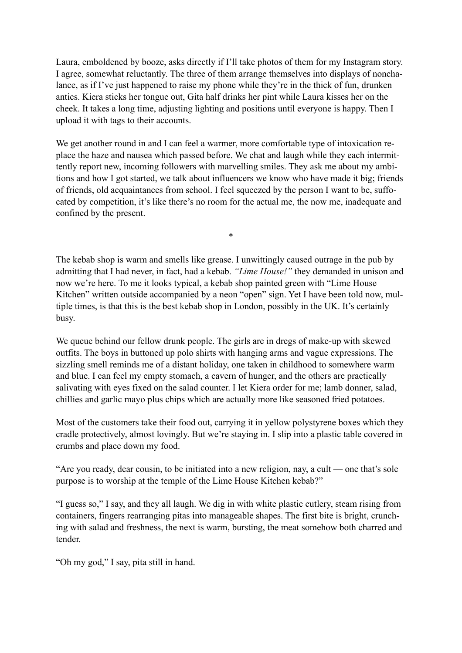Laura, emboldened by booze, asks directly if I'll take photos of them for my Instagram story. I agree, somewhat reluctantly. The three of them arrange themselves into displays of nonchalance, as if I've just happened to raise my phone while they're in the thick of fun, drunken antics. Kiera sticks her tongue out, Gita half drinks her pint while Laura kisses her on the cheek. It takes a long time, adjusting lighting and positions until everyone is happy. Then I upload it with tags to their accounts.

We get another round in and I can feel a warmer, more comfortable type of intoxication replace the haze and nausea which passed before. We chat and laugh while they each intermittently report new, incoming followers with marvelling smiles. They ask me about my ambitions and how I got started, we talk about influencers we know who have made it big; friends of friends, old acquaintances from school. I feel squeezed by the person I want to be, suffocated by competition, it's like there's no room for the actual me, the now me, inadequate and confined by the present.

The kebab shop is warm and smells like grease. I unwittingly caused outrage in the pub by admitting that I had never, in fact, had a kebab. *"Lime House!"* they demanded in unison and now we're here. To me it looks typical, a kebab shop painted green with "Lime House Kitchen" written outside accompanied by a neon "open" sign. Yet I have been told now, multiple times, is that this is the best kebab shop in London, possibly in the UK. It's certainly busy.

\*

We queue behind our fellow drunk people. The girls are in dregs of make-up with skewed outfits. The boys in buttoned up polo shirts with hanging arms and vague expressions. The sizzling smell reminds me of a distant holiday, one taken in childhood to somewhere warm and blue. I can feel my empty stomach, a cavern of hunger, and the others are practically salivating with eyes fixed on the salad counter. I let Kiera order for me; lamb donner, salad, chillies and garlic mayo plus chips which are actually more like seasoned fried potatoes.

Most of the customers take their food out, carrying it in yellow polystyrene boxes which they cradle protectively, almost lovingly. But we're staying in. I slip into a plastic table covered in crumbs and place down my food.

"Are you ready, dear cousin, to be initiated into a new religion, nay, a cult — one that's sole purpose is to worship at the temple of the Lime House Kitchen kebab?"

"I guess so," I say, and they all laugh. We dig in with white plastic cutlery, steam rising from containers, fingers rearranging pitas into manageable shapes. The first bite is bright, crunching with salad and freshness, the next is warm, bursting, the meat somehow both charred and tender.

"Oh my god," I say, pita still in hand.